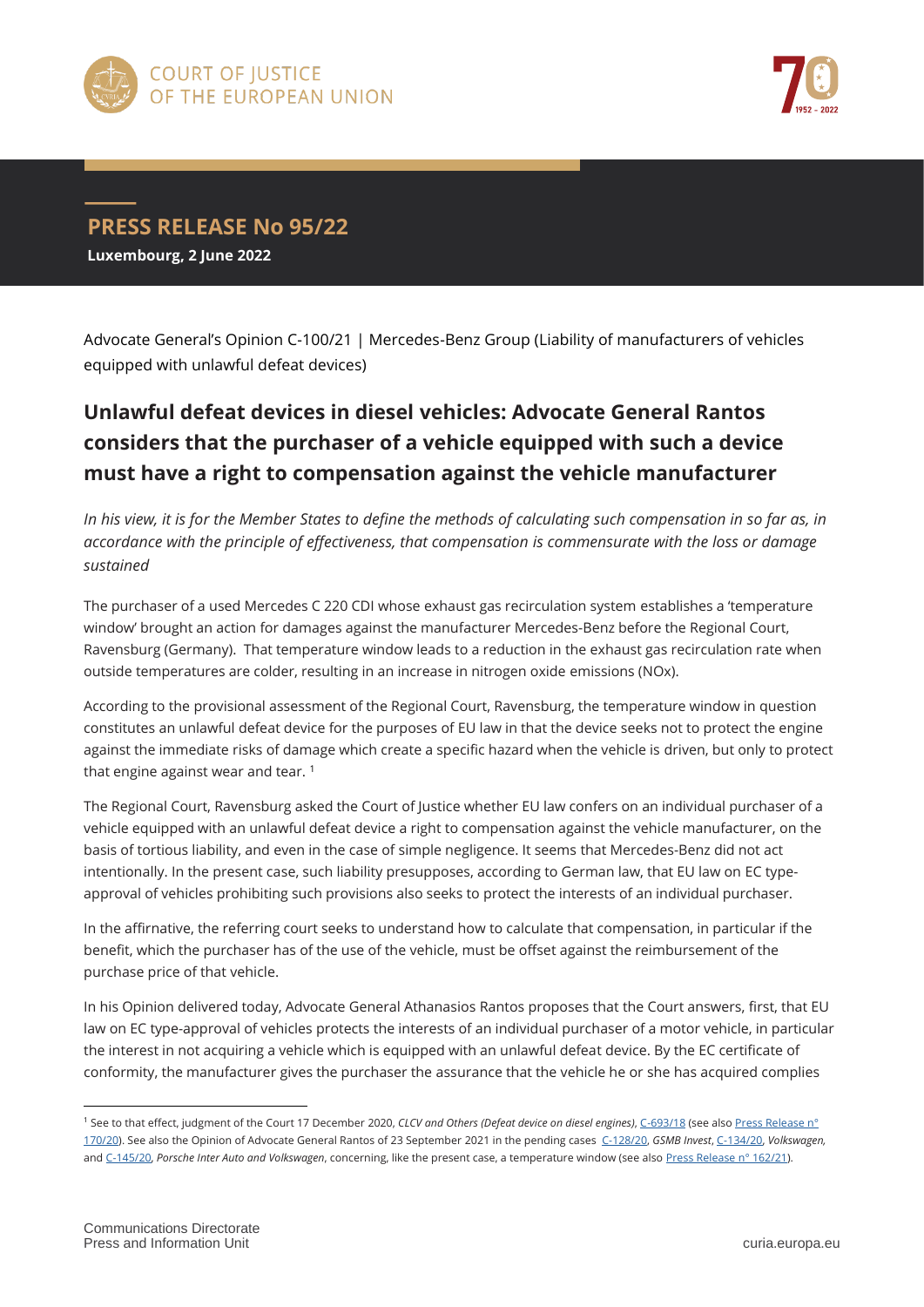



## **PRESS RELEASE No 95/22 Luxembourg, 2 June 2022**

Advocate General's Opinion C-100/21 | Mercedes-Benz Group (Liability of manufacturers of vehicles equipped with unlawful defeat devices)

## **Unlawful defeat devices in diesel vehicles: Advocate General Rantos considers that the purchaser of a vehicle equipped with such a device must have a right to compensation against the vehicle manufacturer**

*In his view, it is for the Member States to define the methods of calculating such compensation in so far as, in accordance with the principle of effectiveness, that compensation is commensurate with the loss or damage sustained*

The purchaser of a used Mercedes C 220 CDI whose exhaust gas recirculation system establishes a 'temperature window' brought an action for damages against the manufacturer Mercedes-Benz before the Regional Court, Ravensburg (Germany). That temperature window leads to a reduction in the exhaust gas recirculation rate when outside temperatures are colder, resulting in an increase in nitrogen oxide emissions (NOx).

According to the provisional assessment of the Regional Court, Ravensburg, the temperature window in question constitutes an unlawful defeat device for the purposes of EU law in that the device seeks not to protect the engine against the immediate risks of damage which create a specific hazard when the vehicle is driven, but only to protect that engine against wear and tear.<sup>1</sup>

The Regional Court, Ravensburg asked the Court of Justice whether EU law confers on an individual purchaser of a vehicle equipped with an unlawful defeat device a right to compensation against the vehicle manufacturer, on the basis of tortious liability, and even in the case of simple negligence. It seems that Mercedes-Benz did not act intentionally. In the present case, such liability presupposes, according to German law, that EU law on EC typeapproval of vehicles prohibiting such provisions also seeks to protect the interests of an individual purchaser.

In the affirnative, the referring court seeks to understand how to calculate that compensation, in particular if the benefit, which the purchaser has of the use of the vehicle, must be offset against the reimbursement of the purchase price of that vehicle.

In his Opinion delivered today, Advocate General Athanasios Rantos proposes that the Court answers, first, that EU law on EC type-approval of vehicles protects the interests of an individual purchaser of a motor vehicle, in particular the interest in not acquiring a vehicle which is equipped with an unlawful defeat device. By the EC certificate of conformity, the manufacturer gives the purchaser the assurance that the vehicle he or she has acquired complies

 $\overline{a}$ 

<sup>1</sup> See to that effect, judgment of the Court 17 December 2020, *CLCV and Others (Defeat device on diesel engines)*[, C-693/18](https://curia.europa.eu/juris/documents.jsf?num=C-693/18) (see also [Press Release](https://curia.europa.eu/jcms/upload/docs/application/pdf/2020-12/cp200170en.pdf) n° [170/20\).](https://curia.europa.eu/jcms/upload/docs/application/pdf/2020-12/cp200170en.pdf) See also the Opinion of Advocate General Rantos of 23 September 2021 in the pending cases [C-128/20,](https://curia.europa.eu/juris/documents.jsf?num=C-128/20) *GSMB Invest*[, C-134/20,](https://curia.europa.eu/juris/documents.jsf?num=C-134/20) *Volkswagen,* and [C-145/20,](https://curia.europa.eu/juris/documents.jsf?num=C-145/20) *Porsche Inter Auto and Volkswagen*, concerning, like the present case, a temperature window (see also [Press Release](https://curia.europa.eu/jcms/upload/docs/application/pdf/2021-09/cp210162en.pdf) n° 162/21).